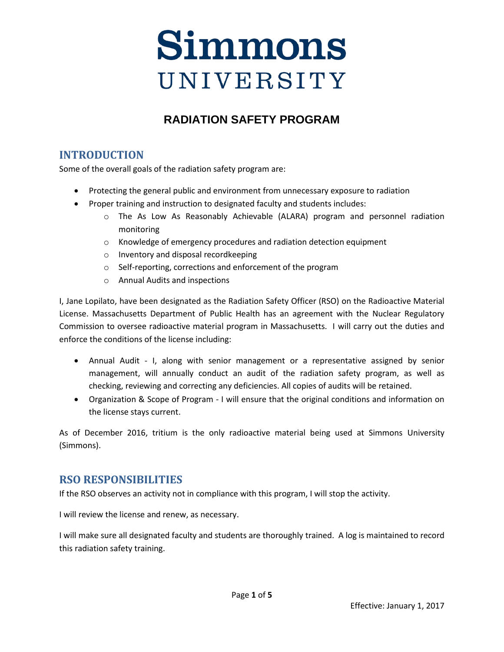# Simmons UNIVERSITY

# **RADIATION SAFETY PROGRAM**

## **INTRODUCTION**

Some of the overall goals of the radiation safety program are:

- Protecting the general public and environment from unnecessary exposure to radiation
- Proper training and instruction to designated faculty and students includes:
	- o The As Low As Reasonably Achievable (ALARA) program and personnel radiation monitoring
	- o Knowledge of emergency procedures and radiation detection equipment
	- o Inventory and disposal recordkeeping
	- o Self‐reporting, corrections and enforcement of the program
	- o Annual Audits and inspections

I, Jane Lopilato, have been designated as the Radiation Safety Officer (RSO) on the Radioactive Material License. Massachusetts Department of Public Health has an agreement with the Nuclear Regulatory Commission to oversee radioactive material program in Massachusetts. I will carry out the duties and enforce the conditions of the license including:

- Annual Audit I, along with senior management or a representative assigned by senior management, will annually conduct an audit of the radiation safety program, as well as checking, reviewing and correcting any deficiencies. All copies of audits will be retained.
- Organization & Scope of Program I will ensure that the original conditions and information on the license stays current.

As of December 2016, tritium is the only radioactive material being used at Simmons University (Simmons).

#### **RSO RESPONSIBILITIES**

If the RSO observes an activity not in compliance with this program, I will stop the activity.

I will review the license and renew, as necessary.

I will make sure all designated faculty and students are thoroughly trained. A log is maintained to record this radiation safety training.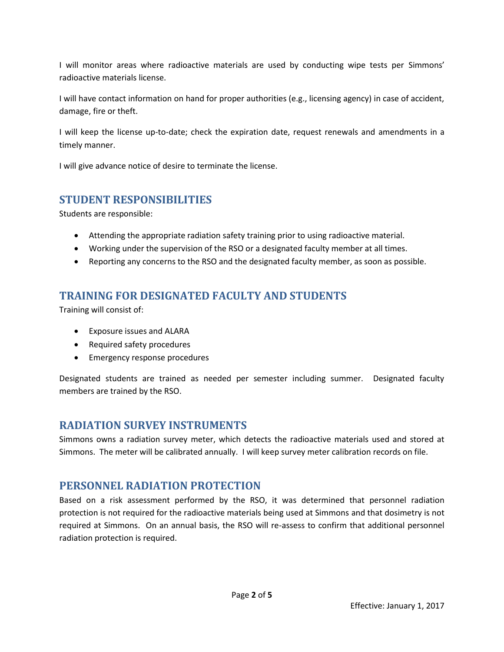I will monitor areas where radioactive materials are used by conducting wipe tests per Simmons' radioactive materials license.

I will have contact information on hand for proper authorities (e.g., licensing agency) in case of accident, damage, fire or theft.

I will keep the license up‐to‐date; check the expiration date, request renewals and amendments in a timely manner.

I will give advance notice of desire to terminate the license.

#### **STUDENT RESPONSIBILITIES**

Students are responsible:

- Attending the appropriate radiation safety training prior to using radioactive material.
- Working under the supervision of the RSO or a designated faculty member at all times.
- Reporting any concerns to the RSO and the designated faculty member, as soon as possible.

## **TRAINING FOR DESIGNATED FACULTY AND STUDENTS**

Training will consist of:

- Exposure issues and ALARA
- Required safety procedures
- Emergency response procedures

Designated students are trained as needed per semester including summer. Designated faculty members are trained by the RSO.

#### **RADIATION SURVEY INSTRUMENTS**

Simmons owns a radiation survey meter, which detects the radioactive materials used and stored at Simmons. The meter will be calibrated annually. I will keep survey meter calibration records on file.

#### **PERSONNEL RADIATION PROTECTION**

Based on a risk assessment performed by the RSO, it was determined that personnel radiation protection is not required for the radioactive materials being used at Simmons and that dosimetry is not required at Simmons. On an annual basis, the RSO will re-assess to confirm that additional personnel radiation protection is required.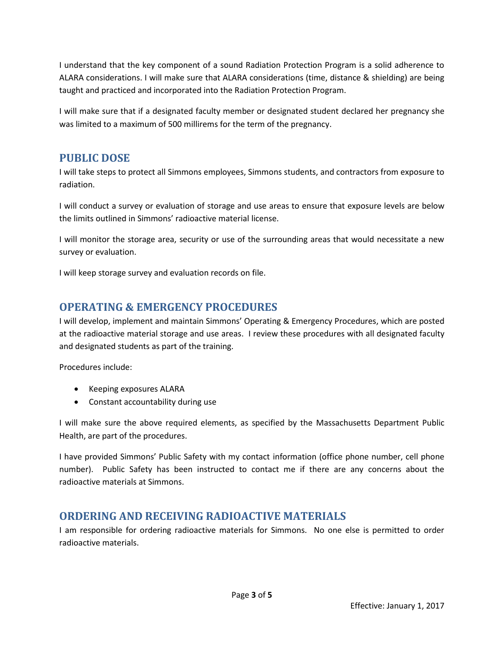I understand that the key component of a sound Radiation Protection Program is a solid adherence to ALARA considerations. I will make sure that ALARA considerations (time, distance & shielding) are being taught and practiced and incorporated into the Radiation Protection Program.

I will make sure that if a designated faculty member or designated student declared her pregnancy she was limited to a maximum of 500 millirems for the term of the pregnancy.

#### **PUBLIC DOSE**

I will take steps to protect all Simmons employees, Simmons students, and contractors from exposure to radiation.

I will conduct a survey or evaluation of storage and use areas to ensure that exposure levels are below the limits outlined in Simmons' radioactive material license.

I will monitor the storage area, security or use of the surrounding areas that would necessitate a new survey or evaluation.

I will keep storage survey and evaluation records on file.

### **OPERATING & EMERGENCY PROCEDURES**

I will develop, implement and maintain Simmons' Operating & Emergency Procedures, which are posted at the radioactive material storage and use areas. I review these procedures with all designated faculty and designated students as part of the training.

Procedures include:

- Keeping exposures ALARA
- Constant accountability during use

I will make sure the above required elements, as specified by the Massachusetts Department Public Health, are part of the procedures.

I have provided Simmons' Public Safety with my contact information (office phone number, cell phone number). Public Safety has been instructed to contact me if there are any concerns about the radioactive materials at Simmons.

#### **ORDERING AND RECEIVING RADIOACTIVE MATERIALS**

I am responsible for ordering radioactive materials for Simmons. No one else is permitted to order radioactive materials.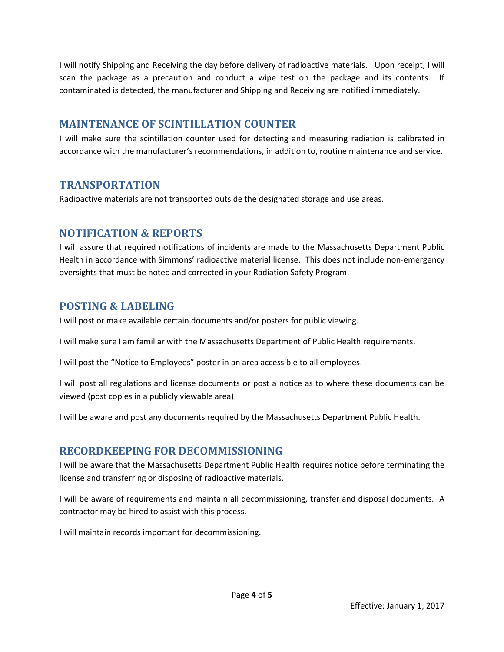I will notify Shipping and Receiving the day before delivery of radioactive materials. Upon receipt, I will scan the package as a precaution and conduct a wipe test on the package and its contents. If contaminated is detected, the manufacturer and Shipping and Receiving are notified immediately.

#### **MAINTENANCE OF SCINTILLATION COUNTER**

I will make sure the scintillation counter used for detecting and measuring radiation is calibrated in accordance with the manufacturer's recommendations, in addition to, routine maintenance and service.

#### **TRANSPORTATION**

Radioactive materials are not transported outside the designated storage and use areas.

#### **NOTIFICATION & REPORTS**

I will assure that required notifications of incidents are made to the Massachusetts Department Public Health in accordance with Simmons' radioactive material license. This does not include non-emergency oversights that must be noted and corrected in your Radiation Safety Program.

#### **POSTING & LABELING**

I will post or make available certain documents and/or posters for public viewing.

I will make sure I am familiar with the Massachusetts Department of Public Health requirements.

I will post the "Notice to Employees" poster in an area accessible to all employees.

I will post all regulations and license documents or post a notice as to where these documents can be viewed (post copies in a publicly viewable area).

I will be aware and post any documents required by the Massachusetts Department Public Health.

#### **RECORDKEEPING FOR DECOMMISSIONING**

I will be aware that the Massachusetts Department Public Health requires notice before terminating the license and transferring or disposing of radioactive materials.

I will be aware of requirements and maintain all decommissioning, transfer and disposal documents. A contractor may be hired to assist with this process.

I will maintain records important for decommissioning.